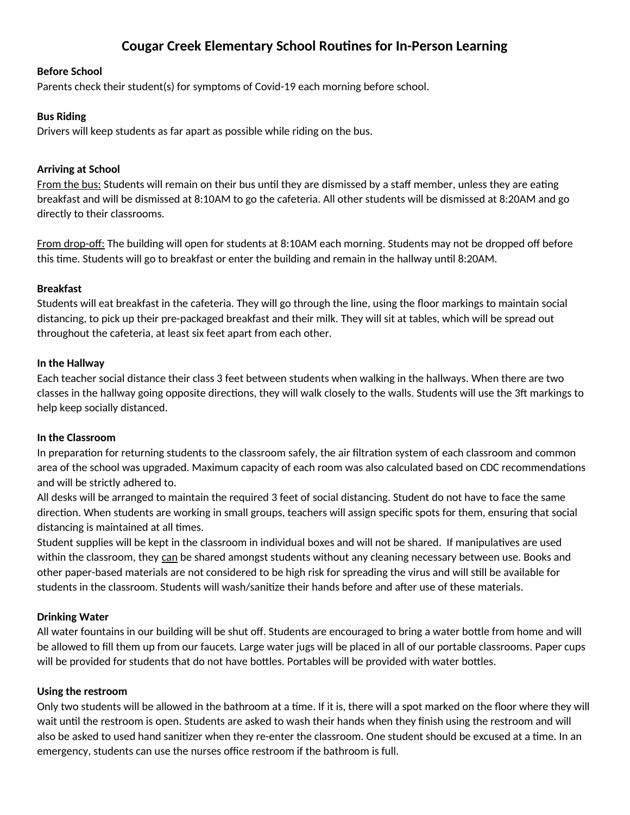# **Cougar Creek Elementary School Routines for In-Person Learning**

#### **Before School**

Parents check their student(s) for symptoms of Covid-19 each morning before school.

## **Bus Riding**

Drivers will keep students as far apart as possible while riding on the bus.

## **Arriving at School**

From the bus: Students will remain on their bus until they are dismissed by a staff member, unless they are eating breakfast and will be dismissed at 8:10AM to go the cafeteria. All other students will be dismissed at 8:20AM and go directly to their classrooms.

From drop-off: The building will open for students at 8:10AM each morning. Students may not be dropped off before this time. Students will go to breakfast or enter the building and remain in the hallway until 8:20AM.

## **Breakfast**

Students will eat breakfast in the cafeteria. They will go through the line, using the floor markings to maintain social distancing, to pick up their pre-packaged breakfast and their milk. They will sit at tables, which will be spread out throughout the cafeteria, at least six feet apart from each other.

#### **In the Hallway**

Each teacher social distance their class 3 feet between students when walking in the hallways. When there are two classes in the hallway going opposite directions, they will walk closely to the walls. Students will use the 3ft markings to help keep socially distanced.

#### **In the Classroom**

In preparation for returning students to the classroom safely, the air filtration system of each classroom and common area of the school was upgraded. Maximum capacity of each room was also calculated based on CDC recommendations and will be strictly adhered to.

All desks will be arranged to maintain the required 3 feet of social distancing. Student do not have to face the same direction. When students are working in small groups, teachers will assign specific spots for them, ensuring that social distancing is maintained at all times.

Student supplies will be kept in the classroom in individual boxes and will not be shared. If manipulatives are used within the classroom, they can be shared amongst students without any cleaning necessary between use. Books and other paper-based materials are not considered to be high risk for spreading the virus and will still be available for students in the classroom. Students will wash/sanitize their hands before and after use of these materials.

# **Drinking Water**

All water fountains in our building will be shut off. Students are encouraged to bring a water bottle from home and will be allowed to fill them up from our faucets. Large water jugs will be placed in all of our portable classrooms. Paper cups will be provided for students that do not have bottles. Portables will be provided with water bottles.

#### **Using the restroom**

Only two students will be allowed in the bathroom at a time. If it is, there will a spot marked on the floor where they will wait until the restroom is open. Students are asked to wash their hands when they finish using the restroom and will also be asked to used hand sanitizer when they re-enter the classroom. One student should be excused at a time. In an emergency, students can use the nurses office restroom if the bathroom is full.